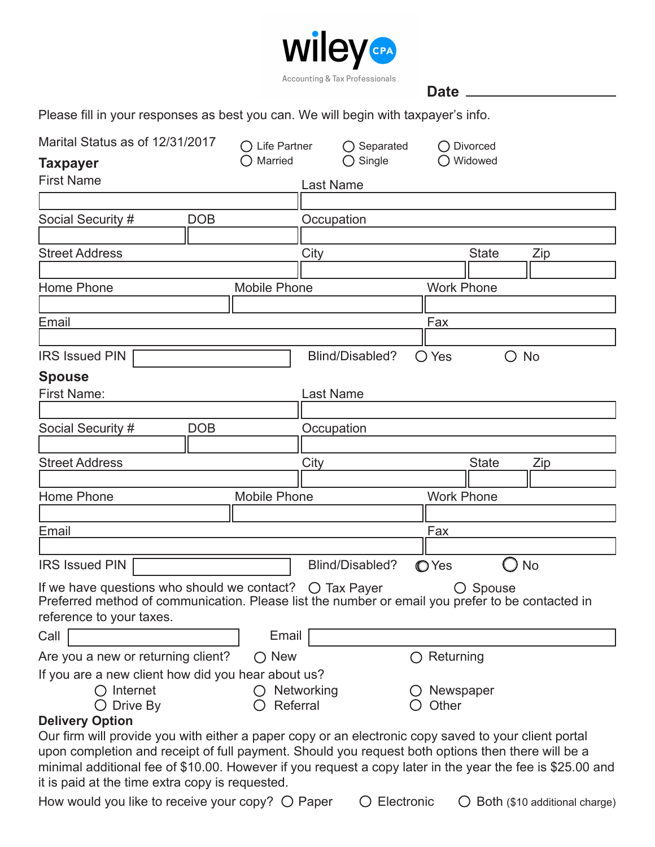

**Date**

Please fill in your responses as best you can. We will begin with taxpayer's info.

| Marital Status as of 12/31/2017                                                                                                                                                                  |            | $\bigcap$ Life Partner |                  | $\bigcirc$ Separated |                | $\bigcap$ Divorced |           |
|--------------------------------------------------------------------------------------------------------------------------------------------------------------------------------------------------|------------|------------------------|------------------|----------------------|----------------|--------------------|-----------|
| <b>Taxpayer</b>                                                                                                                                                                                  |            | Married                |                  | $\bigcirc$ Single    |                | Widowed            |           |
| <b>First Name</b>                                                                                                                                                                                |            |                        | <b>Last Name</b> |                      |                |                    |           |
|                                                                                                                                                                                                  |            |                        |                  |                      |                |                    |           |
| Social Security #                                                                                                                                                                                | <b>DOB</b> |                        | Occupation       |                      |                |                    |           |
|                                                                                                                                                                                                  |            |                        |                  |                      |                |                    |           |
| <b>Street Address</b>                                                                                                                                                                            |            |                        | City             |                      |                | <b>State</b>       | Zip       |
|                                                                                                                                                                                                  |            |                        |                  |                      |                |                    |           |
| Home Phone                                                                                                                                                                                       |            | <b>Mobile Phone</b>    |                  |                      |                | <b>Work Phone</b>  |           |
|                                                                                                                                                                                                  |            |                        |                  |                      |                |                    |           |
| Email                                                                                                                                                                                            |            |                        |                  |                      | Fax            |                    |           |
| <b>IRS Issued PIN</b>                                                                                                                                                                            |            |                        |                  | Blind/Disabled?      |                |                    |           |
|                                                                                                                                                                                                  |            |                        |                  |                      | $\bigcirc$ Yes | O                  | <b>No</b> |
| <b>Spouse</b>                                                                                                                                                                                    |            |                        |                  |                      |                |                    |           |
| <b>First Name:</b>                                                                                                                                                                               |            |                        | <b>Last Name</b> |                      |                |                    |           |
| Social Security #                                                                                                                                                                                | <b>DOB</b> |                        | Occupation       |                      |                |                    |           |
|                                                                                                                                                                                                  |            |                        |                  |                      |                |                    |           |
| <b>Street Address</b>                                                                                                                                                                            |            |                        | City             |                      |                | <b>State</b>       | Zip       |
|                                                                                                                                                                                                  |            |                        |                  |                      |                |                    |           |
| Home Phone                                                                                                                                                                                       |            | <b>Mobile Phone</b>    |                  |                      |                | <b>Work Phone</b>  |           |
|                                                                                                                                                                                                  |            |                        |                  |                      |                |                    |           |
| Email                                                                                                                                                                                            |            |                        |                  |                      | Fax            |                    |           |
|                                                                                                                                                                                                  |            |                        |                  |                      |                |                    |           |
| <b>IRS Issued PIN</b>                                                                                                                                                                            |            |                        |                  | Blind/Disabled?      | <b>O</b> Yes   |                    | <b>No</b> |
| If we have questions who should we contact? $\bigcirc$ Tax Payer<br>Preferred method of communication. Please list the number or email you prefer to be contacted in<br>reference to your taxes. |            |                        |                  |                      |                | $\bigcirc$ Spouse  |           |
| Call                                                                                                                                                                                             |            | Email                  |                  |                      |                |                    |           |
| Are you a new or returning client?                                                                                                                                                               |            | $\bigcirc$ New         |                  |                      | $^{\prime}$    | Returning          |           |
| If you are a new client how did you hear about us?                                                                                                                                               |            |                        |                  |                      |                |                    |           |
| Internet                                                                                                                                                                                         |            |                        | Networking       |                      | Newspaper      |                    |           |
| Drive By                                                                                                                                                                                         |            | Referral               |                  |                      | Other          |                    |           |
| <b>Delivery Option</b><br>Our firm will provide you with either a paper copy or an electronic copy saved to your client portal                                                                   |            |                        |                  |                      |                |                    |           |
| upon completion and receipt of full payment. Should you request both options then there will be a                                                                                                |            |                        |                  |                      |                |                    |           |
| minimal additional fee of \$10.00. However if you request a copy later in the year the fee is \$25.00 and                                                                                        |            |                        |                  |                      |                |                    |           |
| it is paid at the time extra copy is requested.                                                                                                                                                  |            |                        |                  |                      |                |                    |           |

How would you like to receive your copy?  $\bigcirc$  Paper  $\bigcirc$  Electronic  $\bigcirc$  Both (\$10 additional charge)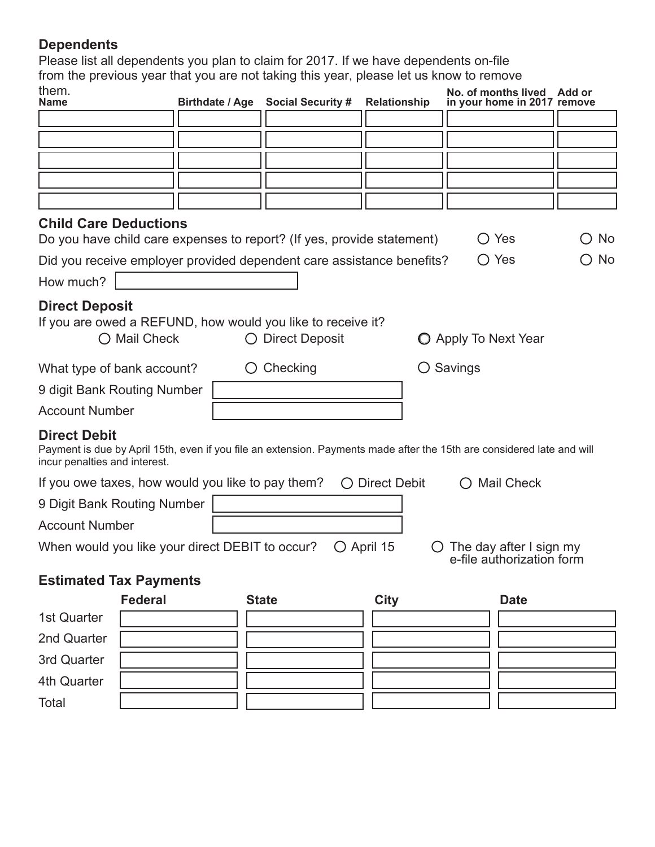# **Dependents**

Please list all dependents you plan to claim for 2017. If we have dependents on-file from the previous year that you are not taking this year, please let us know to remove them.

| them.<br><b>Name</b>                                 |                                                   | Birthdate / Age Social Security #                                               | Relationship        | No. of months lived Add or<br>in your home in 2017 remove                                                              |                              |
|------------------------------------------------------|---------------------------------------------------|---------------------------------------------------------------------------------|---------------------|------------------------------------------------------------------------------------------------------------------------|------------------------------|
|                                                      |                                                   |                                                                                 |                     |                                                                                                                        |                              |
|                                                      |                                                   |                                                                                 |                     |                                                                                                                        |                              |
|                                                      |                                                   |                                                                                 |                     |                                                                                                                        |                              |
|                                                      |                                                   |                                                                                 |                     |                                                                                                                        |                              |
|                                                      |                                                   |                                                                                 |                     |                                                                                                                        |                              |
| <b>Child Care Deductions</b>                         |                                                   | Do you have child care expenses to report? (If yes, provide statement)          |                     | $\bigcirc$ Yes                                                                                                         | $\bigcirc$ No                |
|                                                      |                                                   | Did you receive employer provided dependent care assistance benefits?           |                     | $\bigcirc$ Yes                                                                                                         | No<br>$\left( \quad \right)$ |
| How much?                                            |                                                   |                                                                                 |                     |                                                                                                                        |                              |
| <b>Direct Deposit</b>                                | ○ Mail Check                                      | If you are owed a REFUND, how would you like to receive it?<br>◯ Direct Deposit |                     | O Apply To Next Year                                                                                                   |                              |
|                                                      | What type of bank account?                        | $\bigcirc$ Checking                                                             |                     | $\bigcirc$ Savings                                                                                                     |                              |
|                                                      | 9 digit Bank Routing Number                       |                                                                                 |                     |                                                                                                                        |                              |
| <b>Account Number</b>                                |                                                   |                                                                                 |                     |                                                                                                                        |                              |
| <b>Direct Debit</b><br>incur penalties and interest. |                                                   |                                                                                 |                     | Payment is due by April 15th, even if you file an extension. Payments made after the 15th are considered late and will |                              |
|                                                      | If you owe taxes, how would you like to pay them? |                                                                                 | <b>Direct Debit</b> | <b>Mail Check</b>                                                                                                      |                              |
|                                                      | 9 Digit Bank Routing Number                       |                                                                                 |                     |                                                                                                                        |                              |
| <b>Account Number</b>                                |                                                   |                                                                                 |                     |                                                                                                                        |                              |
|                                                      | When would you like your direct DEBIT to occur?   |                                                                                 | $\bigcirc$ April 15 | The day after I sign my<br>e-file authorization form                                                                   |                              |
|                                                      | <b>Estimated Tax Payments</b>                     |                                                                                 |                     |                                                                                                                        |                              |
|                                                      | <b>Federal</b>                                    | <b>State</b>                                                                    | <b>City</b>         | <b>Date</b>                                                                                                            |                              |
| 1st Quarter                                          |                                                   |                                                                                 |                     |                                                                                                                        |                              |
| 2nd Quarter                                          |                                                   |                                                                                 |                     |                                                                                                                        |                              |
| 3rd Quarter                                          |                                                   |                                                                                 |                     |                                                                                                                        |                              |

4th Quarter Total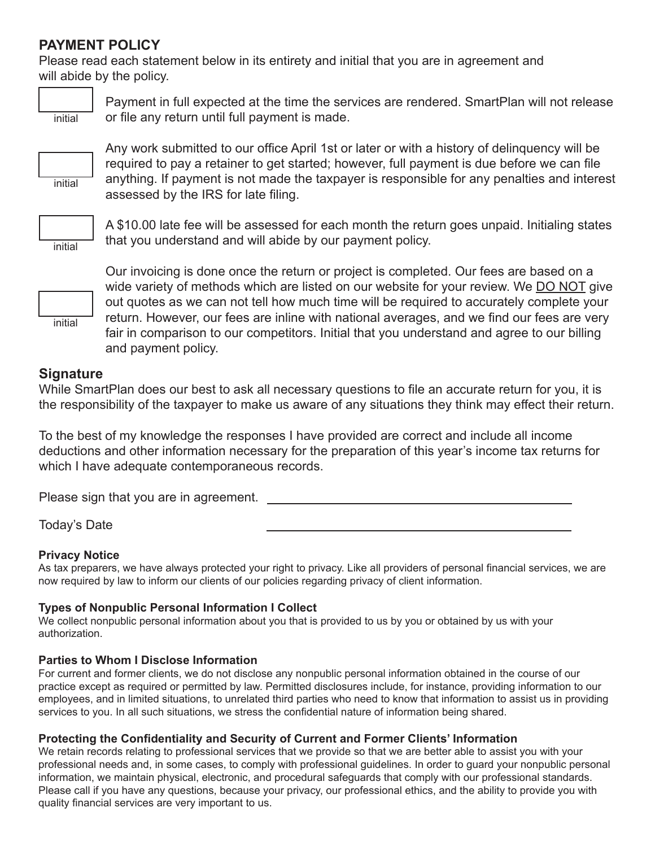## **PAYMENT POLICY**

Please read each statement below in its entirety and initial that you are in agreement and will abide by the policy.



Payment in full expected at the time the services are rendered. SmartPlan will not release or file any return until full payment is made.



Any work submitted to our office April 1st or later or with a history of delinquency will be required to pay a retainer to get started; however, full payment is due before we can file anything. If payment is not made the taxpayer is responsible for any penalties and interest assessed by the IRS for late filing.



A \$10.00 late fee will be assessed for each month the return goes unpaid. Initialing states that you understand and will abide by our payment policy.

initial



Our invoicing is done once the return or project is completed. Our fees are based on a wide variety of methods which are listed on our website for your review. We DO NOT give out quotes as we can not tell how much time will be required to accurately complete your return. However, our fees are inline with national averages, and we find our fees are very fair in comparison to our competitors. Initial that you understand and agree to our billing and payment policy.

# **Signature**

While SmartPlan does our best to ask all necessary questions to file an accurate return for you, it is the responsibility of the taxpayer to make us aware of any situations they think may effect their return.

To the best of my knowledge the responses I have provided are correct and include all income deductions and other information necessary for the preparation of this year's income tax returns for which I have adequate contemporaneous records.

Please sign that you are in agreement.

Today's Date

#### **Privacy Notice**

As tax preparers, we have always protected your right to privacy. Like all providers of personal financial services, we are now required by law to inform our clients of our policies regarding privacy of client information.

## **Types of Nonpublic Personal Information I Collect**

We collect nonpublic personal information about you that is provided to us by you or obtained by us with your authorization.

#### **Parties to Whom I Disclose Information**

For current and former clients, we do not disclose any nonpublic personal information obtained in the course of our practice except as required or permitted by law. Permitted disclosures include, for instance, providing information to our employees, and in limited situations, to unrelated third parties who need to know that information to assist us in providing services to you. In all such situations, we stress the confidential nature of information being shared.

#### **Protecting the Confidentiality and Security of Current and Former Clients' Information**

We retain records relating to professional services that we provide so that we are better able to assist you with your professional needs and, in some cases, to comply with professional guidelines. In order to guard your nonpublic personal information, we maintain physical, electronic, and procedural safeguards that comply with our professional standards. Please call if you have any questions, because your privacy, our professional ethics, and the ability to provide you with quality financial services are very important to us.